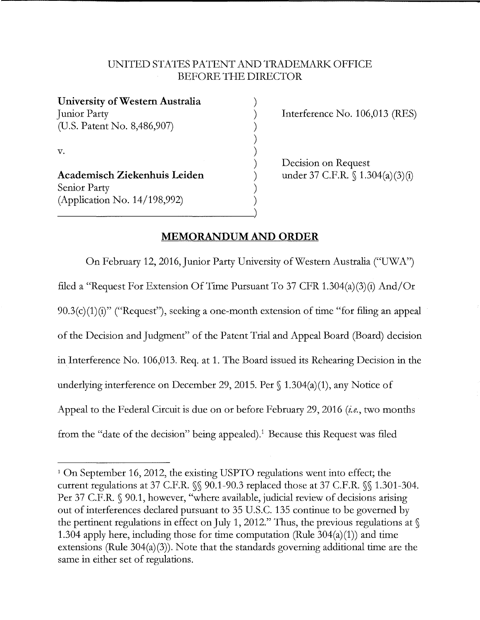## UNITED STATES PA TENT AND TRADEMARK OFFICE BEFORE THE DIRECTOR

| University of Western Australia |  |
|---------------------------------|--|
| Junior Party                    |  |
| (U.S. Patent No. 8,486,907)     |  |
| $\mathbf{V}$ .                  |  |
|                                 |  |
|                                 |  |
| Academisch Ziekenhuis Leiden    |  |
| Senior Party                    |  |
| (Application No. 14/198,992)    |  |
|                                 |  |

Interference No. 106,013 (RES)

Decision on Request under 37 C.F.R. § 1.304(a)(3)(i)

## **MEMORANDUM AND ORDER**

On February 12, 2016, Junior Party University of Western Australia ("UWA") filed a "Request For Extension Of Time Pursuant To 37 CFR 1.304(a)(3)(i) And/Or  $90.3(c)(1)(i)$ " ("Request"), seeking a one-month extension of time "for filing an appeal of the Decision and Judgment" of the Patent Trial and Appeal Board (Board) decision in Interference No. 106,013. Req. at 1. The Board issued its Rehearing Decision in the underlying interference on December 29, 2015. Per § 1.304(a)(1), any Notice of Appeal to the Federal Circuit is due on or before February 29, 2016 *(i.e.,* two months from the "date of the decision" being appealed).<sup>1</sup> Because this Request was filed

<sup>&</sup>lt;sup>1</sup> On September 16, 2012, the existing USPTO regulations went into effect; the current regulations at 37 C.F.R. §§ 90.1-90.3 replaced those at 37 C.F.R. §§ 1.301-304. Per 37 C.F.R. § 90.1, however, "where available, judicial review of decisions arising out of interferences declared pursuant to 35 U.S.C. 135 continue to be governed by the pertinent regulations in effect on July 1, 2012." Thus, the previous regulations at  $\mathcal S$ 1.304 apply here, including those for time computation (Rule  $304(a)(1)$ ) and time extensions (Rule 304(a)(3)). Note that the standards governing additional time are the same in either set of regulations.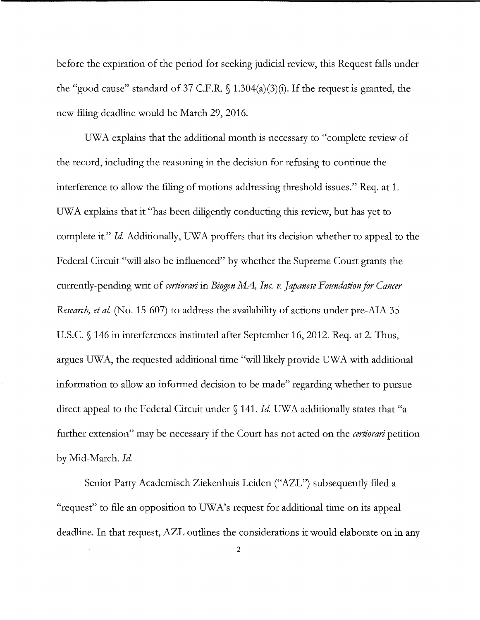before the expiration of the period for seeking judicial review, this Request falls under the "good cause" standard of 37 C.F.R. § 1.304(a)(3)(i). If the request is granted, the new filing deadline would be March 29, 2016.

UWA explains that the additional month is necessary to "complete review of the record, including the reasoning in the decision for refusing to continue the interference to allow the filing of motions addressing threshold issues." Req. at 1. UW A explains that it "has been diligently conducting this review, but has yet to complete it." *Id.* Additionally, UWA proffers that its decision whether to appeal to the Federal Circuit "will also be influenced" by whether the Supreme Court grants the currently-pending writ of *certiorari* in *Biogen MA*, Inc. v. Japanese Foundation for Cancer *Research, et al.* (No. 15-607) to address the availability of actions under pre-AIA 35 U.S.C. § 146 in interferences instituted after September 16, 2012. Req. at 2. Thus, argues UWA, the requested additional time "will likely provide UWA with additional information to allow an informed decision to be made" regarding whether to pursue direct appeal to the Federal Circuit under § 141. *Id* UW A additionally states that "a further extension" may be necessary if the Court has not acted on the *certiorari* petition by Mid-March. *Id* 

Senior Party Academisch Ziekenhuis Leiden ("AZL") subsequently filed a "request" to file an opposition to UW A's request for additional time on its appeal deadline. In that request, AZL outlines the considerations it would elaborate on in any

2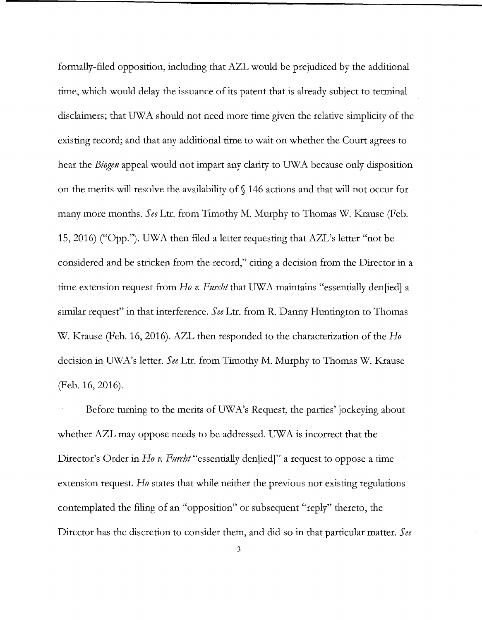formally-filed opposition, including that AZL would be prejudiced by the additional time, which would delay the issuance of its patent that is already subject to terminal disclaimers; that UWA should not need more time given the relative simplicity of the existing record; and that any additional time to wait on whether the Court agrees to hear the *Biogen* appeal would not impart any clarity to UWA because only disposition on the merits will resolve the availability of§ 146 actions and that will not occur for many more months. *See* Ltr. from Timothy M. Murphy to Thomas W. Krause (Feb. 15, 2016) ("Opp."). UW A then filed a letter requesting that AZL's letter "not be considered and be stricken from the record," citing a decision from the Director in a time extension request from *Ho v. Furcht* that UWA maintains "essentially den[ied] a similar request" in that interference. *See* Ltr. from R. Danny Huntington to Thomas W. Krause (Feb. 16, 2016). AZL then responded to the characterization of the *Ho*  decision in UW A's letter. *See* Ltr. from Timothy M. Murphy to Thomas W. Krause (Feb. 16, 2016).

Before turning to the merits of UW A's Request, the parties' jockeying about whether AZL may oppose needs to be addressed. UWA is incorrect that the Director's Order in *Ho v. Furcht* "essentially den[ied]" a request to oppose a time extension request. *Ho* states that while neither the previous nor existing regulations contemplated the filing of an "opposition" or subsequent "reply" thereto, the Director has the discretion to consider them, and did so in that particular matter. *See*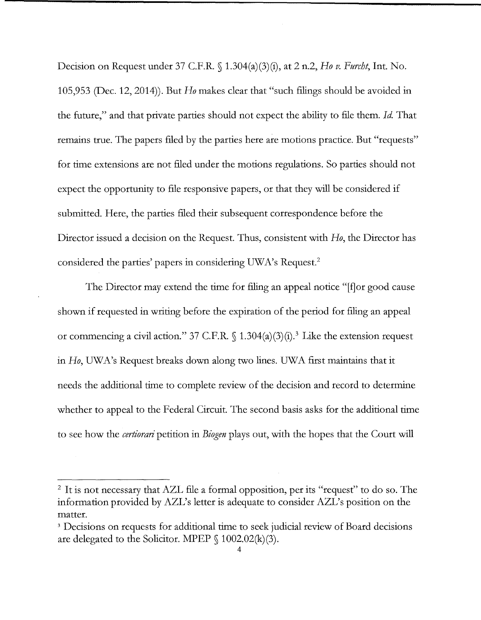Decision on Request under 37 C.F.R. § 1.304(a)(3)(i), at 2 n.2, *Ho v. Furcht,* Int. No. 105,953 (Dec. 12, 2014)). But *Ho* makes clear that "such filings should be avoided in the future," and that private parties should not expect the ability to file them. *Id* That remains true. The papers filed by the parties here are motions practice. But "requests" for time extensions are not filed under the motions regulations. So parties should not expect the opportunity to file responsive papers, or that they will be considered if submitted. Here, the parties filed their subsequent correspondence before the Director issued a decision on the Request. Thus, consistent with *Ho,* the Director has considered the parties' papers in considering UWA's Request.<sup>2</sup>

The Director may extend the time for filing an appeal notice "[f] or good cause shown if requested in writing before the expiration of the period for filing an appeal or commencing a civil action." 37 C.F.R.  $\int$  1.304(a)(3)(i).<sup>3</sup> Like the extension request in *Ho,* UW A's Request breaks down along two lines. UW A first maintains that it needs the additional time to complete review of the decision and record to determine whether to appeal to the Federal Circuit. The second basis asks for the additional time to see how the *certiorari* petition in *Biogen* plays out, with the hopes that the Court will

<sup>&</sup>lt;sup>2</sup> It is not necessary that AZL file a formal opposition, per its "request" to do so. The information provided by AZL's letter is adequate to consider AZL's position on the matter.

<sup>&</sup>lt;sup>3</sup> Decisions on requests for additional time to seek judicial review of Board decisions are delegated to the Solicitor. MPEP  $\{1002.02(k)(3)\}$ .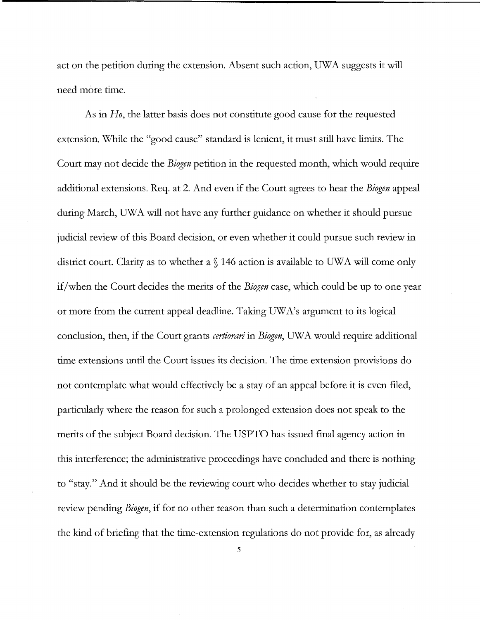act on the petition during the extension. Absent such action, UWA suggests it will need more time.

As in *Ho,* the latter basis does not constitute good cause for the requested extension. While the "good cause" standard is lenient, it must still have limits. The Court may not decide the *Biogen* petition in the requested month, which would require additional extensions. Req. at 2. And even if the Court agrees to hear the *Biogen* appeal during March, UWA will not have any further guidance on whether it should pursue judicial review of this Board decision, or even whether it could pursue such review in district court. Clarity as to whether a  $\S$  146 action is available to UWA will come only if/when the Court decides the merits of the *Biogen* case, which could be up to one year or more from the current appeal deadline. Taking UWA's argument to its logical conclusion, then, if the Court grants *certiorari* in *Biogen,* UW A would require additional time extensions until the Court issues its decision. The time extension provisions do not contemplate what would effectively be a stay of an appeal before it is even filed, particularly where the reason for such a prolonged extension does not speak to the merits of the subject Board decision. The USPTO has issued final agency action in this interference; the administrative proceedings have concluded and there is nothing to "stay." And it should be the reviewing court who decides whether to stay judicial review pending *Biogen,* if for no other reason than such a determination contemplates the kind of briefing that the time-extension regulations do not provide for, as already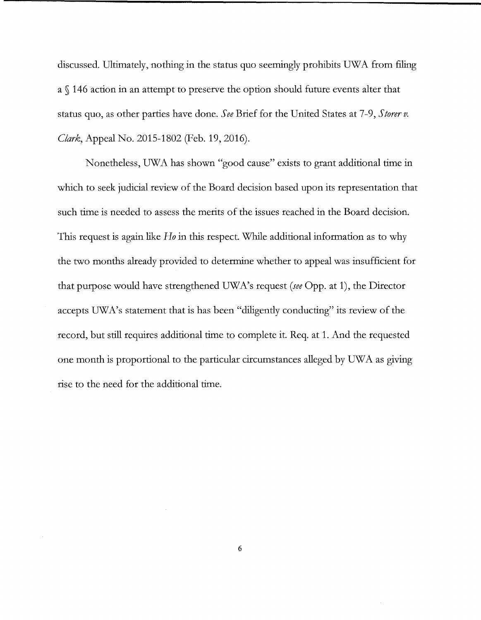discussed. Ultimately, nothing in the status quo seemingly prohibits UWA from filing a § 146 action in an attempt to preserve the option should future events alter that status quo, as other parties have done. *See* Brief for the United States at 7-9, *Storerv. Clark,* Appeal No. 2015-1802 (Feb. 19, 2016).

Nonetheless, UWA has shown "good cause" exists to grant additional time in which to seek judicial review of the Board decision based upon its representation that such time is needed to assess the merits of the issues reached in the Board decision. This request is again like *Ho* in this respect. While additional information as to why the two months already provided to determine whether to appeal was insufficient for that purpose would have strengthened UWA's request *(see* Opp. at 1), the Director accepts UWA's statement that is has been "diligently conducting" its review of the record, but still requires additional time to complete it. Req. at 1. And the requested one month is proportional to the particular circumstances alleged by UW A as giving rise to the need for the additional time.